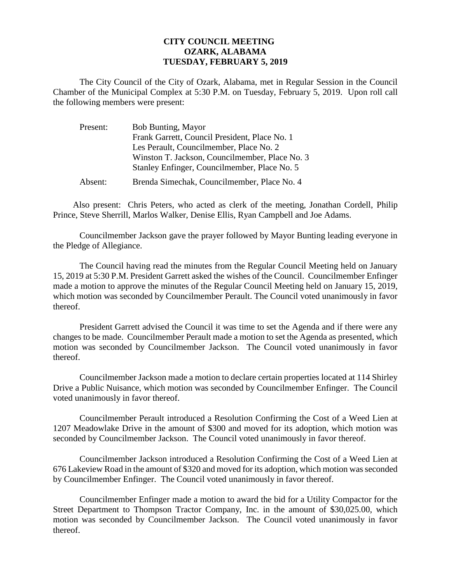## **CITY COUNCIL MEETING OZARK, ALABAMA TUESDAY, FEBRUARY 5, 2019**

The City Council of the City of Ozark, Alabama, met in Regular Session in the Council Chamber of the Municipal Complex at 5:30 P.M. on Tuesday, February 5, 2019. Upon roll call the following members were present:

| Present: | <b>Bob Bunting, Mayor</b>                                                                      |
|----------|------------------------------------------------------------------------------------------------|
|          | Frank Garrett, Council President, Place No. 1<br>Les Perault, Councilmember, Place No. 2       |
|          | Winston T. Jackson, Councilmember, Place No. 3<br>Stanley Enfinger, Councilmember, Place No. 5 |
| Absent:  | Brenda Simechak, Councilmember, Place No. 4                                                    |

Also present: Chris Peters, who acted as clerk of the meeting, Jonathan Cordell, Philip Prince, Steve Sherrill, Marlos Walker, Denise Ellis, Ryan Campbell and Joe Adams.

Councilmember Jackson gave the prayer followed by Mayor Bunting leading everyone in the Pledge of Allegiance.

The Council having read the minutes from the Regular Council Meeting held on January 15, 2019 at 5:30 P.M. President Garrett asked the wishes of the Council. Councilmember Enfinger made a motion to approve the minutes of the Regular Council Meeting held on January 15, 2019, which motion was seconded by Councilmember Perault. The Council voted unanimously in favor thereof.

President Garrett advised the Council it was time to set the Agenda and if there were any changes to be made. Councilmember Perault made a motion to set the Agenda as presented, which motion was seconded by Councilmember Jackson. The Council voted unanimously in favor thereof.

Councilmember Jackson made a motion to declare certain properties located at 114 Shirley Drive a Public Nuisance, which motion was seconded by Councilmember Enfinger. The Council voted unanimously in favor thereof.

Councilmember Perault introduced a Resolution Confirming the Cost of a Weed Lien at 1207 Meadowlake Drive in the amount of \$300 and moved for its adoption, which motion was seconded by Councilmember Jackson. The Council voted unanimously in favor thereof.

Councilmember Jackson introduced a Resolution Confirming the Cost of a Weed Lien at 676 Lakeview Road in the amount of \$320 and moved for its adoption, which motion was seconded by Councilmember Enfinger. The Council voted unanimously in favor thereof.

Councilmember Enfinger made a motion to award the bid for a Utility Compactor for the Street Department to Thompson Tractor Company, Inc. in the amount of \$30,025.00, which motion was seconded by Councilmember Jackson. The Council voted unanimously in favor thereof.